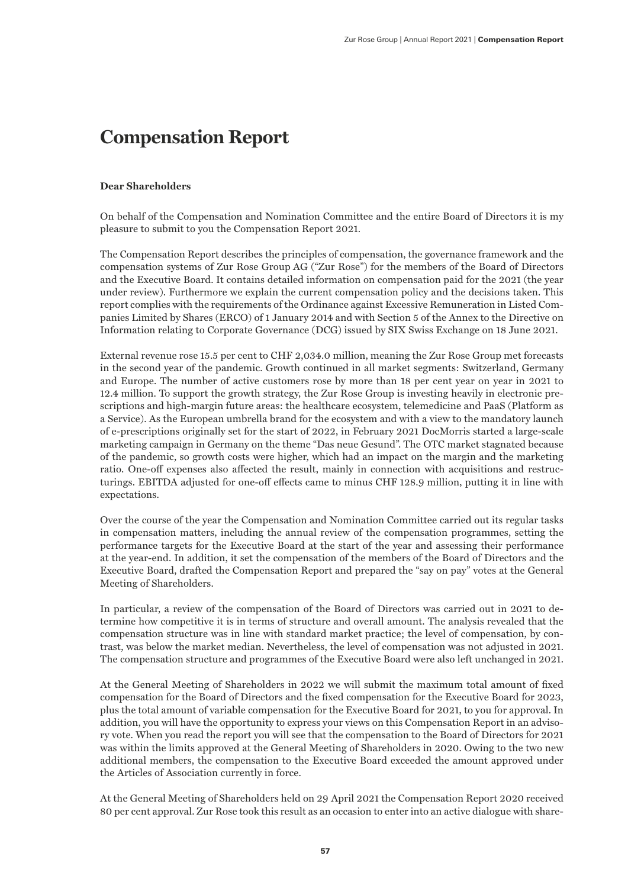# **Compensation Report**

#### **Dear Shareholders**

On behalf of the Compensation and Nomination Committee and the entire Board of Directors it is my pleasure to submit to you the Compensation Report 2021.

The Compensation Report describes the principles of compensation, the governance framework and the compensation systems of Zur Rose Group AG ("Zur Rose") for the members of the Board of Directors and the Executive Board. It contains detailed information on compensation paid for the 2021 (the year under review). Furthermore we explain the current compensation policy and the decisions taken. This report complies with the requirements of the Ordinance against Excessive Remuneration in Listed Companies Limited by Shares (ERCO) of 1 January 2014 and with Section 5 of the Annex to the Directive on Information relating to Corporate Governance (DCG) issued by SIX Swiss Exchange on 18 June 2021.

External revenue rose 15.5 per cent to CHF 2,034.0 million, meaning the Zur Rose Group met forecasts in the second year of the pandemic. Growth continued in all market segments: Switzerland, Germany and Europe. The number of active customers rose by more than 18 per cent year on year in 2021 to 12.4 million. To support the growth strategy, the Zur Rose Group is investing heavily in electronic prescriptions and high-margin future areas: the healthcare ecosystem, telemedicine and PaaS (Platform as a Service). As the European umbrella brand for the ecosystem and with a view to the mandatory launch of e-prescriptions originally set for the start of 2022, in February 2021 DocMorris started a large-scale marketing campaign in Germany on the theme "Das neue Gesund". The OTC market stagnated because of the pandemic, so growth costs were higher, which had an impact on the margin and the marketing ratio. One-off expenses also affected the result, mainly in connection with acquisitions and restructurings. EBITDA adjusted for one-off effects came to minus CHF 128.9 million, putting it in line with expectations.

Over the course of the year the Compensation and Nomination Committee carried out its regular tasks in compensation matters, including the annual review of the compensation programmes, setting the performance targets for the Executive Board at the start of the year and assessing their performance at the year-end. In addition, it set the compensation of the members of the Board of Directors and the Executive Board, drafted the Compensation Report and prepared the "say on pay" votes at the General Meeting of Shareholders.

In particular, a review of the compensation of the Board of Directors was carried out in 2021 to determine how competitive it is in terms of structure and overall amount. The analysis revealed that the compensation structure was in line with standard market practice; the level of compensation, by contrast, was below the market median. Nevertheless, the level of compensation was not adjusted in 2021. The compensation structure and programmes of the Executive Board were also left unchanged in 2021.

At the General Meeting of Shareholders in 2022 we will submit the maximum total amount of fixed compensation for the Board of Directors and the fixed compensation for the Executive Board for 2023, plus the total amount of variable compensation for the Executive Board for 2021, to you for approval. In addition, you will have the opportunity to express your views on this Compensation Report in an advisory vote. When you read the report you will see that the compensation to the Board of Directors for 2021 was within the limits approved at the General Meeting of Shareholders in 2020. Owing to the two new additional members, the compensation to the Executive Board exceeded the amount approved under the Articles of Association currently in force.

At the General Meeting of Shareholders held on 29 April 2021 the Compensation Report 2020 received 80 per cent approval. Zur Rose took this result as an occasion to enter into an active dialogue with share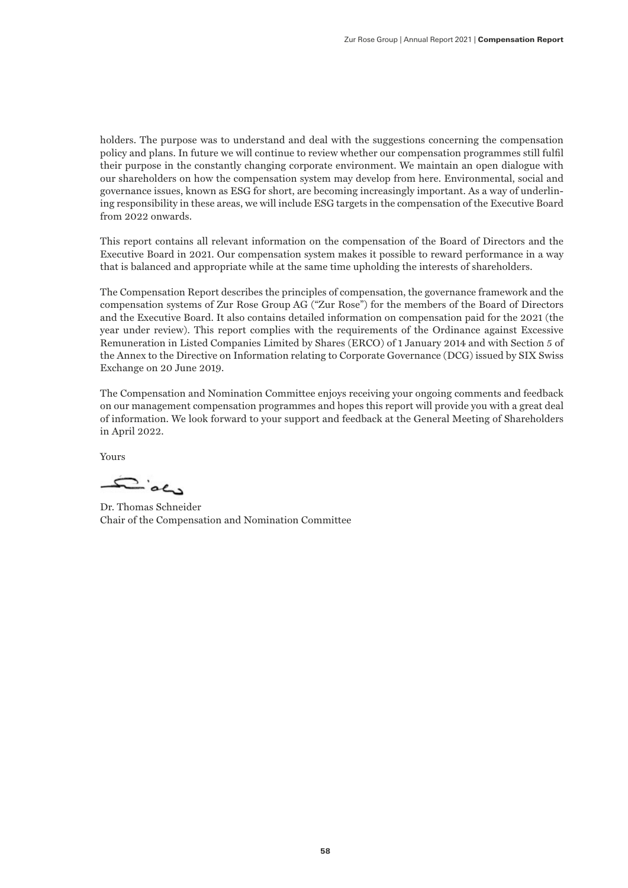holders. The purpose was to understand and deal with the suggestions concerning the compensation policy and plans. In future we will continue to review whether our compensation programmes still fulfil their purpose in the constantly changing corporate environment. We maintain an open dialogue with our shareholders on how the compensation system may develop from here. Environmental, social and governance issues, known as ESG for short, are becoming increasingly important. As a way of underlining responsibility in these areas, we will include ESG targets in the compensation of the Executive Board from 2022 onwards.

This report contains all relevant information on the compensation of the Board of Directors and the Executive Board in 2021. Our compensation system makes it possible to reward performance in a way that is balanced and appropriate while at the same time upholding the interests of shareholders.

The Compensation Report describes the principles of compensation, the governance framework and the compensation systems of Zur Rose Group AG ("Zur Rose") for the members of the Board of Directors and the Executive Board. It also contains detailed information on compensation paid for the 2021 (the year under review). This report complies with the requirements of the Ordinance against Excessive Remuneration in Listed Companies Limited by Shares (ERCO) of 1 January 2014 and with Section 5 of the Annex to the Directive on Information relating to Corporate Governance (DCG) issued by SIX Swiss Exchange on 20 June 2019.

The Compensation and Nomination Committee enjoys receiving your ongoing comments and feedback on our management compensation programmes and hopes this report will provide you with a great deal of information. We look forward to your support and feedback at the General Meeting of Shareholders in April 2022.

Yours

يت کھنے

Dr. Thomas Schneider Chair of the Compensation and Nomination Committee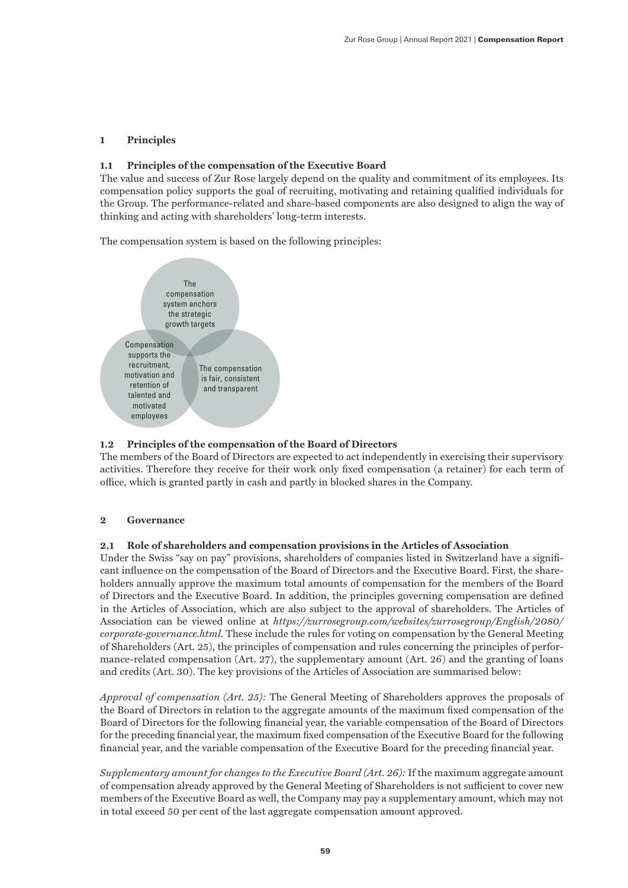# **1 Principles**

# **1.1 Principles of the compensation of the Executive Board**

The value and success of Zur Rose largely depend on the quality and commitment of its employees. Its compensation policy supports the goal of recruiting, motivating and retaining qualified individuals for the Group. The performance-related and share-based components are also designed to align the way of thinking and acting with shareholders' long-term interests.

The compensation system is based on the following principles:



# **1.2 Principles of the compensation of the Board of Directors**

The members of the Board of Directors are expected to act independently in exercising their supervisory activities. Therefore they receive for their work only fixed compensation (a retainer) for each term of office, which is granted partly in cash and partly in blocked shares in the Company.

# **2 Governance**

# **2.1 Role of shareholders and compensation provisions in the Articles of Association**

Under the Swiss "say on pay" provisions, shareholders of companies listed in Switzerland have a significant influence on the compensation of the Board of Directors and the Executive Board. First, the shareholders annually approve the maximum total amounts of compensation for the members of the Board of Directors and the Executive Board. In addition, the principles governing compensation are defined in the Articles of Association, which are also subject to the approval of shareholders. The Articles of Association can be viewed online at *https://zurrosegroup.com/websites/zurrosegroup/English/2080/ corporate-governance.html.* These include the rules for voting on compensation by the General Meeting of Shareholders (Art. 25), the principles of compensation and rules concerning the principles of performance-related compensation (Art. 27), the supplementary amount (Art. 26) and the granting of loans and credits (Art. 30). The key provisions of the Articles of Association are summarised below:

*Approval of compensation (Art. 25):* The General Meeting of Shareholders approves the proposals of the Board of Directors in relation to the aggregate amounts of the maximum fixed compensation of the Board of Directors for the following financial year, the variable compensation of the Board of Directors for the preceding financial year, the maximum fixed compensation of the Executive Board for the following financial year, and the variable compensation of the Executive Board for the preceding financial year.

*Supplementary amount for changes to the Executive Board (Art. 26):* If the maximum aggregate amount of compensation already approved by the General Meeting of Shareholders is not sufficient to cover new members of the Executive Board as well, the Company may pay a supplementary amount, which may not in total exceed 50 per cent of the last aggregate compensation amount approved.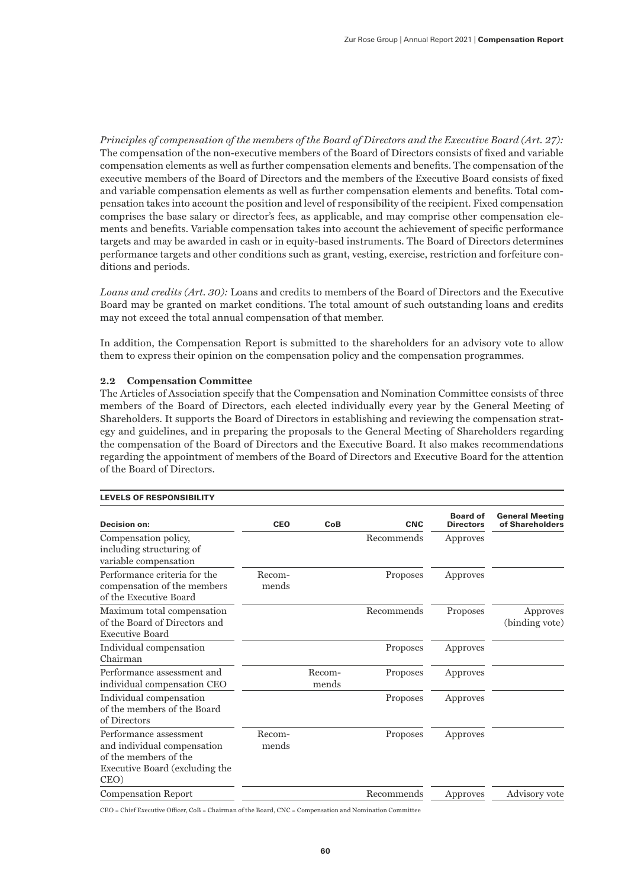*Principles of compensation of the members of the Board of Directors and the Executive Board (Art. 27):*  The compensation of the non-executive members of the Board of Directors consists of fixed and variable compensation elements as well as further compensation elements and benefits. The compensation of the executive members of the Board of Directors and the members of the Executive Board consists of fixed and variable compensation elements as well as further compensation elements and benefits. Total compensation takes into account the position and level of responsibility of the recipient. Fixed compensation comprises the base salary or director's fees, as applicable, and may comprise other compensation elements and benefits. Variable compensation takes into account the achievement of specific performance targets and may be awarded in cash or in equity-based instruments. The Board of Directors determines performance targets and other conditions such as grant, vesting, exercise, restriction and forfeiture conditions and periods.

*Loans and credits (Art. 30):* Loans and credits to members of the Board of Directors and the Executive Board may be granted on market conditions. The total amount of such outstanding loans and credits may not exceed the total annual compensation of that member.

In addition, the Compensation Report is submitted to the shareholders for an advisory vote to allow them to express their opinion on the compensation policy and the compensation programmes.

# **2.2 Compensation Committee**

The Articles of Association specify that the Compensation and Nomination Committee consists of three members of the Board of Directors, each elected individually every year by the General Meeting of Shareholders. It supports the Board of Directors in establishing and reviewing the compensation strategy and guidelines, and in preparing the proposals to the General Meeting of Shareholders regarding the compensation of the Board of Directors and the Executive Board. It also makes recommendations regarding the appointment of members of the Board of Directors and Executive Board for the attention of the Board of Directors.

| <b>Decision on:</b>                                                                                                      | <b>CEO</b>      | CoB             | <b>CNC</b> | <b>Board of</b><br><b>Directors</b> | <b>General Meeting</b><br>of Shareholders |
|--------------------------------------------------------------------------------------------------------------------------|-----------------|-----------------|------------|-------------------------------------|-------------------------------------------|
| Compensation policy,<br>including structuring of<br>variable compensation                                                |                 |                 | Recommends | Approves                            |                                           |
| Performance criteria for the<br>compensation of the members<br>of the Executive Board                                    | Recom-<br>mends |                 | Proposes   | Approves                            |                                           |
| Maximum total compensation<br>of the Board of Directors and<br><b>Executive Board</b>                                    |                 |                 | Recommends | Proposes                            | Approves<br>(binding vote)                |
| Individual compensation<br>Chairman                                                                                      |                 |                 | Proposes   | Approves                            |                                           |
| Performance assessment and<br>individual compensation CEO                                                                |                 | Recom-<br>mends | Proposes   | Approves                            |                                           |
| Individual compensation<br>of the members of the Board<br>of Directors                                                   |                 |                 | Proposes   | Approves                            |                                           |
| Performance assessment<br>and individual compensation<br>of the members of the<br>Executive Board (excluding the<br>CEO) | Recom-<br>mends |                 | Proposes   | Approves                            |                                           |
| <b>Compensation Report</b>                                                                                               |                 |                 | Recommends | Approves                            | Advisory vote                             |

#### LEVELS OF RESPONSIBILITY

CEO = Chief Executive Officer, CoB = Chairman of the Board, CNC = Compensation and Nomination Committee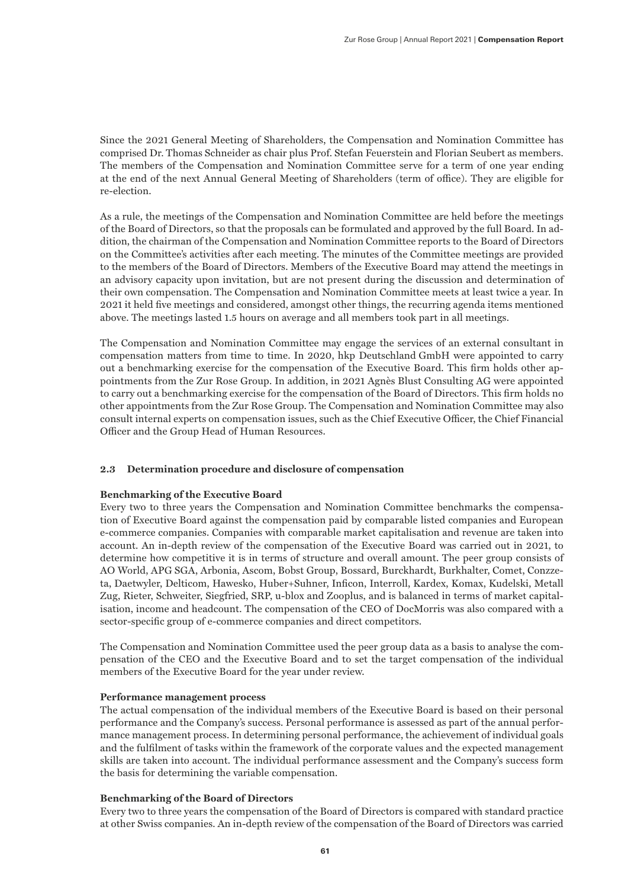Since the 2021 General Meeting of Shareholders, the Compensation and Nomination Committee has comprised Dr. Thomas Schneider as chair plus Prof. Stefan Feuerstein and Florian Seubert as members. The members of the Compensation and Nomination Committee serve for a term of one year ending at the end of the next Annual General Meeting of Shareholders (term of office). They are eligible for re-election.

As a rule, the meetings of the Compensation and Nomination Committee are held before the meetings of the Board of Directors, so that the proposals can be formulated and approved by the full Board. In addition, the chairman of the Compensation and Nomination Committee reports to the Board of Directors on the Committee's activities after each meeting. The minutes of the Committee meetings are provided to the members of the Board of Directors. Members of the Executive Board may attend the meetings in an advisory capacity upon invitation, but are not present during the discussion and determination of their own compensation. The Compensation and Nomination Committee meets at least twice a year. In 2021 it held five meetings and considered, amongst other things, the recurring agenda items mentioned above. The meetings lasted 1.5 hours on average and all members took part in all meetings.

The Compensation and Nomination Committee may engage the services of an external consultant in compensation matters from time to time. In 2020, hkp Deutschland GmbH were appointed to carry out a benchmarking exercise for the compensation of the Executive Board. This firm holds other appointments from the Zur Rose Group. In addition, in 2021 Agnès Blust Consulting AG were appointed to carry out a benchmarking exercise for the compensation of the Board of Directors. This firm holds no other appointments from the Zur Rose Group. The Compensation and Nomination Committee may also consult internal experts on compensation issues, such as the Chief Executive Officer, the Chief Financial Officer and the Group Head of Human Resources.

# **2.3 Determination procedure and disclosure of compensation**

# **Benchmarking of the Executive Board**

Every two to three years the Compensation and Nomination Committee benchmarks the compensation of Executive Board against the compensation paid by comparable listed companies and European e-commerce companies. Companies with comparable market capitalisation and revenue are taken into account. An in-depth review of the compensation of the Executive Board was carried out in 2021, to determine how competitive it is in terms of structure and overall amount. The peer group consists of AO World, APG SGA, Arbonia, Ascom, Bobst Group, Bossard, Burckhardt, Burkhalter, Comet, Conzzeta, Daetwyler, Delticom, Hawesko, Huber+Suhner, Inficon, Interroll, Kardex, Komax, Kudelski, Metall Zug, Rieter, Schweiter, Siegfried, SRP, u-blox and Zooplus, and is balanced in terms of market capitalisation, income and headcount. The compensation of the CEO of DocMorris was also compared with a sector-specific group of e-commerce companies and direct competitors.

The Compensation and Nomination Committee used the peer group data as a basis to analyse the compensation of the CEO and the Executive Board and to set the target compensation of the individual members of the Executive Board for the year under review.

# **Performance management process**

The actual compensation of the individual members of the Executive Board is based on their personal performance and the Company's success. Personal performance is assessed as part of the annual performance management process. In determining personal performance, the achievement of individual goals and the fulfilment of tasks within the framework of the corporate values and the expected management skills are taken into account. The individual performance assessment and the Company's success form the basis for determining the variable compensation.

# **Benchmarking of the Board of Directors**

Every two to three years the compensation of the Board of Directors is compared with standard practice at other Swiss companies. An in-depth review of the compensation of the Board of Directors was carried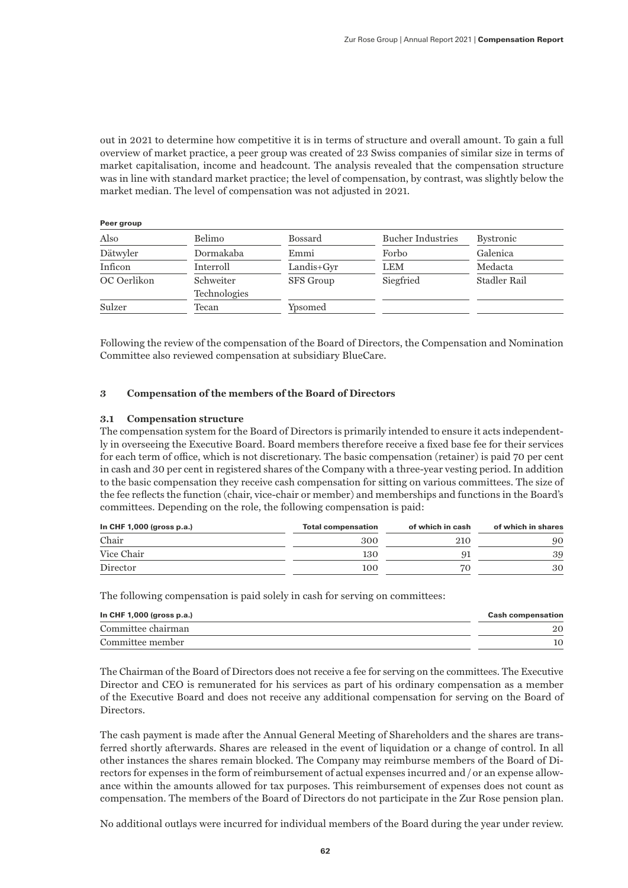out in 2021 to determine how competitive it is in terms of structure and overall amount. To gain a full overview of market practice, a peer group was created of 23 Swiss companies of similar size in terms of market capitalisation, income and headcount. The analysis revealed that the compensation structure was in line with standard market practice; the level of compensation, by contrast, was slightly below the market median. The level of compensation was not adjusted in 2021.

| Peer group  |                           |                  |                          |                  |
|-------------|---------------------------|------------------|--------------------------|------------------|
| Also        | Belimo                    | <b>Bossard</b>   | <b>Bucher Industries</b> | <b>Bystronic</b> |
| Dätwyler    | Dormakaba                 | Emmi             | Forbo                    | Galenica         |
| Inficon     | Interroll                 | $Landis+Gyr$     | LEM                      | Medacta          |
| OC Oerlikon | Schweiter<br>Technologies | <b>SFS</b> Group | Siegfried                | Stadler Rail     |
| Sulzer      | Tecan                     | Ypsomed          |                          |                  |

Following the review of the compensation of the Board of Directors, the Compensation and Nomination Committee also reviewed compensation at subsidiary BlueCare.

# **3 Compensation of the members of the Board of Directors**

# **3.1 Compensation structure**

The compensation system for the Board of Directors is primarily intended to ensure it acts independently in overseeing the Executive Board. Board members therefore receive a fixed base fee for their services for each term of office, which is not discretionary. The basic compensation (retainer) is paid 70 per cent in cash and 30 per cent in registered shares of the Company with a three-year vesting period. In addition to the basic compensation they receive cash compensation for sitting on various committees. The size of the fee reflects the function (chair, vice-chair or member) and memberships and functions in the Board's committees. Depending on the role, the following compensation is paid:

| In CHF $1,000$ (gross p.a.) | <b>Total compensation</b> | of which in cash | of which in shares |
|-----------------------------|---------------------------|------------------|--------------------|
| Chair                       | 300                       | 210              | 90                 |
| Vice Chair                  | 130                       |                  | 39                 |
| Director                    | 100                       | 70               | 30                 |

The following compensation is paid solely in cash for serving on committees:

| In CHF $1,000$ (gross p.a.) | <b>Cash compensation</b> |
|-----------------------------|--------------------------|
| Committee chairman          |                          |
| Committee member            |                          |

The Chairman of the Board of Directors does not receive a fee for serving on the committees. The Executive Director and CEO is remunerated for his services as part of his ordinary compensation as a member of the Executive Board and does not receive any additional compensation for serving on the Board of Directors.

The cash payment is made after the Annual General Meeting of Shareholders and the shares are transferred shortly afterwards. Shares are released in the event of liquidation or a change of control. In all other instances the shares remain blocked. The Company may reimburse members of the Board of Directors for expenses in the form of reimbursement of actual expenses incurred and / or an expense allowance within the amounts allowed for tax purposes. This reimbursement of expenses does not count as compensation. The members of the Board of Directors do not participate in the Zur Rose pension plan.

No additional outlays were incurred for individual members of the Board during the year under review.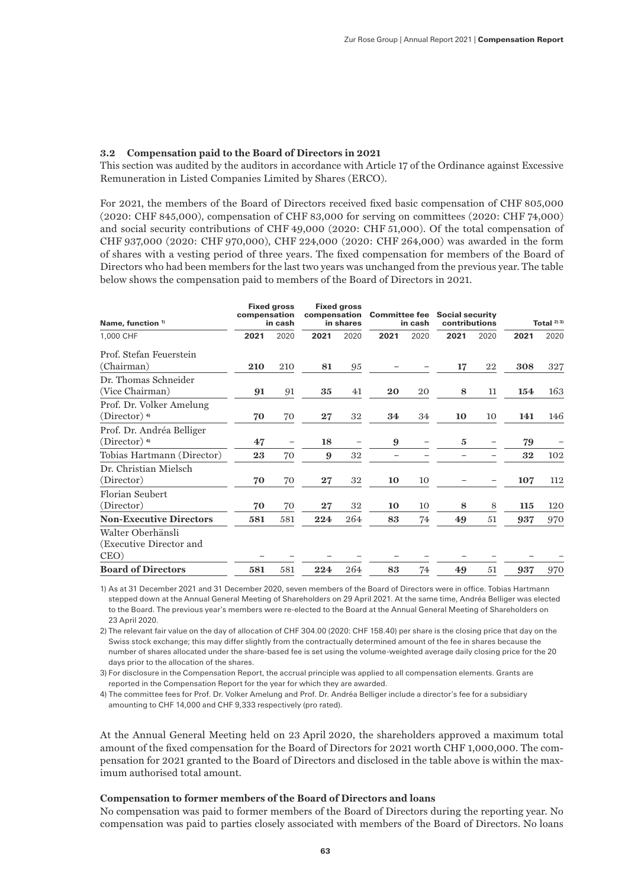# **3.2 Compensation paid to the Board of Directors in 2021**

This section was audited by the auditors in accordance with Article 17 of the Ordinance against Excessive Remuneration in Listed Companies Limited by Shares (ERCO).

For 2021, the members of the Board of Directors received fixed basic compensation of CHF 805,000 (2020: CHF 845,000), compensation of CHF 83,000 for serving on committees (2020: CHF 74,000) and social security contributions of CHF 49,000 (2020: CHF 51,000). Of the total compensation of CHF 937,000 (2020: CHF 970,000), CHF 224,000 (2020: CHF 264,000) was awarded in the form of shares with a vesting period of three years. The fixed compensation for members of the Board of Directors who had been members for the last two years was unchanged from the previous year. The table below shows the compensation paid to members of the Board of Directors in 2021.

| Name, function <sup>1)</sup>                            | compensation | <b>Fixed gross</b><br>in cash | <b>Fixed aross</b><br>compensation Committee fee Social security<br>in shares<br>contributions<br>in cash |      |      | Total $^{2/3}$ |              |      |      |      |
|---------------------------------------------------------|--------------|-------------------------------|-----------------------------------------------------------------------------------------------------------|------|------|----------------|--------------|------|------|------|
| 1,000 CHF                                               | 2021         | 2020                          | 2021                                                                                                      | 2020 | 2021 | 2020           | 2021         | 2020 | 2021 | 2020 |
| Prof. Stefan Feuerstein<br>(Chairman)                   | 210          | 210                           | 81                                                                                                        | 95   |      |                | 17           | 22   | 308  | 327  |
| Dr. Thomas Schneider<br>(Vice Chairman)                 | 91           | 91                            | 35                                                                                                        | 41   | 20   | 20             | 8            | 11   | 154  | 163  |
| Prof. Dr. Volker Amelung<br>$(Director)$ <sup>4)</sup>  | 70           | 70                            | $\bf{27}$                                                                                                 | 32   | 34   | 34             | 10           | 10   | 141  | 146  |
| Prof. Dr. Andréa Belliger<br>$(Director)$ <sup>4)</sup> | 47           | $\overline{\phantom{m}}$      | 18                                                                                                        |      | 9    |                | $\mathbf{5}$ |      | 79   |      |
| Tobias Hartmann (Director)                              | 23           | 70                            | 9                                                                                                         | 32   |      |                |              |      | 32   | 102  |
| Dr. Christian Mielsch<br>(Director)                     | 70           | 70                            | $27\,$                                                                                                    | 32   | 10   | 10             |              |      | 107  | 112  |
| Florian Seubert<br>(Director)                           | 70           | 70                            | 27                                                                                                        | 32   | 10   | 10             | 8            | 8    | 115  | 120  |
| <b>Non-Executive Directors</b>                          | 581          | 581                           | 224                                                                                                       | 264  | 83   | 74             | 49           | 51   | 937  | 970  |
| Walter Oberhänsli<br>(Executive Director and<br>CEO)    |              |                               |                                                                                                           |      |      |                |              |      |      |      |
| <b>Board of Directors</b>                               | 581          | 581                           | 224                                                                                                       | 264  | 83   | 74             | 49           | 51   | 937  | 970  |

1) As at 31 December 2021 and 31 December 2020, seven members of the Board of Directors were in office. Tobias Hartmann stepped down at the Annual General Meeting of Shareholders on 29 April 2021. At the same time, Andréa Belliger was elected to the Board. The previous year's members were re-elected to the Board at the Annual General Meeting of Shareholders on 23 April 2020.

2) The relevant fair value on the day of allocation of CHF 304.00 (2020: CHF 158.40) per share is the closing price that day on the Swiss stock exchange; this may differ slightly from the contractually determined amount of the fee in shares because the number of shares allocated under the share-based fee is set using the volume-weighted average daily closing price for the 20 days prior to the allocation of the shares.

3) For disclosure in the Compensation Report, the accrual principle was applied to all compensation elements. Grants are reported in the Compensation Report for the year for which they are awarded.

4) The committee fees for Prof. Dr. Volker Amelung and Prof. Dr. Andréa Belliger include a director's fee for a subsidiary amounting to CHF 14,000 and CHF 9,333 respectively (pro rated).

At the Annual General Meeting held on 23 April 2020, the shareholders approved a maximum total amount of the fixed compensation for the Board of Directors for 2021 worth CHF 1,000,000. The compensation for 2021 granted to the Board of Directors and disclosed in the table above is within the maximum authorised total amount.

# **Compensation to former members of the Board of Directors and loans**

No compensation was paid to former members of the Board of Directors during the reporting year. No compensation was paid to parties closely associated with members of the Board of Directors. No loans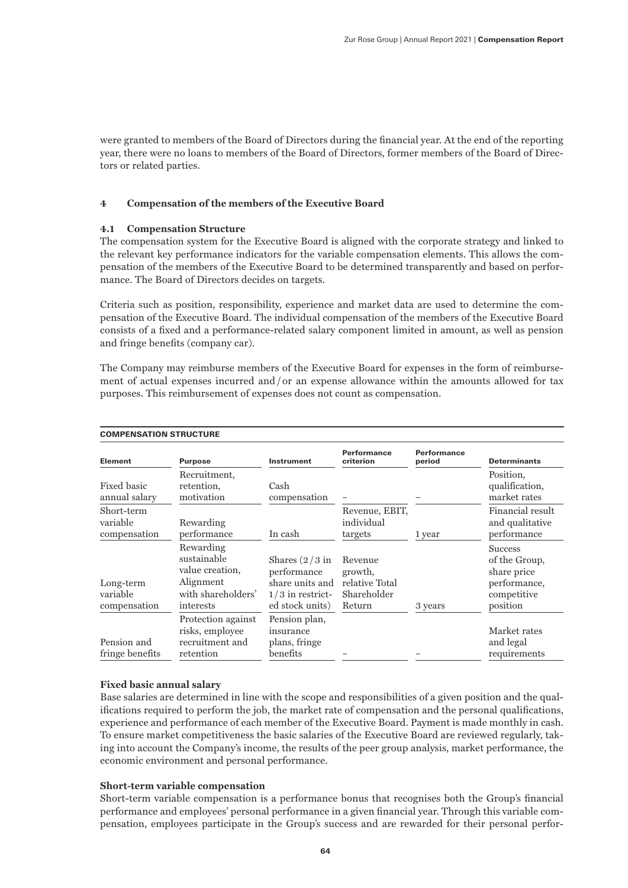were granted to members of the Board of Directors during the financial year. At the end of the reporting year, there were no loans to members of the Board of Directors, former members of the Board of Directors or related parties.

# **4 Compensation of the members of the Executive Board**

# **4.1 Compensation Structure**

The compensation system for the Executive Board is aligned with the corporate strategy and linked to the relevant key performance indicators for the variable compensation elements. This allows the compensation of the members of the Executive Board to be determined transparently and based on performance. The Board of Directors decides on targets.

Criteria such as position, responsibility, experience and market data are used to determine the compensation of the Executive Board. The individual compensation of the members of the Executive Board consists of a fixed and a performance-related salary component limited in amount, as well as pension and fringe benefits (company car).

The Company may reimburse members of the Executive Board for expenses in the form of reimbursement of actual expenses incurred and / or an expense allowance within the amounts allowed for tax purposes. This reimbursement of expenses does not count as compensation.

|                                        | <b>COMPENSATION STRUCTURE</b>                                                               |                                                                                             |                                                               |                              |                                                                                           |  |
|----------------------------------------|---------------------------------------------------------------------------------------------|---------------------------------------------------------------------------------------------|---------------------------------------------------------------|------------------------------|-------------------------------------------------------------------------------------------|--|
| <b>Element</b>                         | <b>Purpose</b>                                                                              | <b>Instrument</b>                                                                           | Performance<br>criterion                                      | <b>Performance</b><br>period | <b>Determinants</b>                                                                       |  |
| Fixed basic<br>annual salary           | Recruitment,<br>retention,<br>motivation                                                    | Cash<br>compensation                                                                        |                                                               |                              | Position,<br>qualification,<br>market rates                                               |  |
| Short-term<br>variable<br>compensation | Rewarding<br>performance                                                                    | In cash                                                                                     | Revenue, EBIT,<br>individual<br>targets                       | 1 year                       | Financial result<br>and qualitative<br>performance                                        |  |
| Long-term<br>variable<br>compensation  | Rewarding<br>sustainable<br>value creation,<br>Alignment<br>with shareholders'<br>interests | Shares $(2/3$ in<br>performance<br>share units and<br>$1/3$ in restrict-<br>ed stock units) | Revenue<br>growth,<br>relative Total<br>Shareholder<br>Return | 3 years                      | <b>Success</b><br>of the Group,<br>share price<br>performance,<br>competitive<br>position |  |
| Pension and<br>fringe benefits         | Protection against<br>risks, employee<br>recruitment and<br>retention                       | Pension plan,<br>insurance<br>plans, fringe<br>benefits                                     |                                                               |                              | Market rates<br>and legal<br>requirements                                                 |  |

# **Fixed basic annual salary**

Base salaries are determined in line with the scope and responsibilities of a given position and the qualifications required to perform the job, the market rate of compensation and the personal qualifications, experience and performance of each member of the Executive Board. Payment is made monthly in cash. To ensure market competitiveness the basic salaries of the Executive Board are reviewed regularly, taking into account the Company's income, the results of the peer group analysis, market performance, the economic environment and personal performance.

# **Short-term variable compensation**

Short-term variable compensation is a performance bonus that recognises both the Group's financial performance and employees' personal performance in a given financial year. Through this variable compensation, employees participate in the Group's success and are rewarded for their personal perfor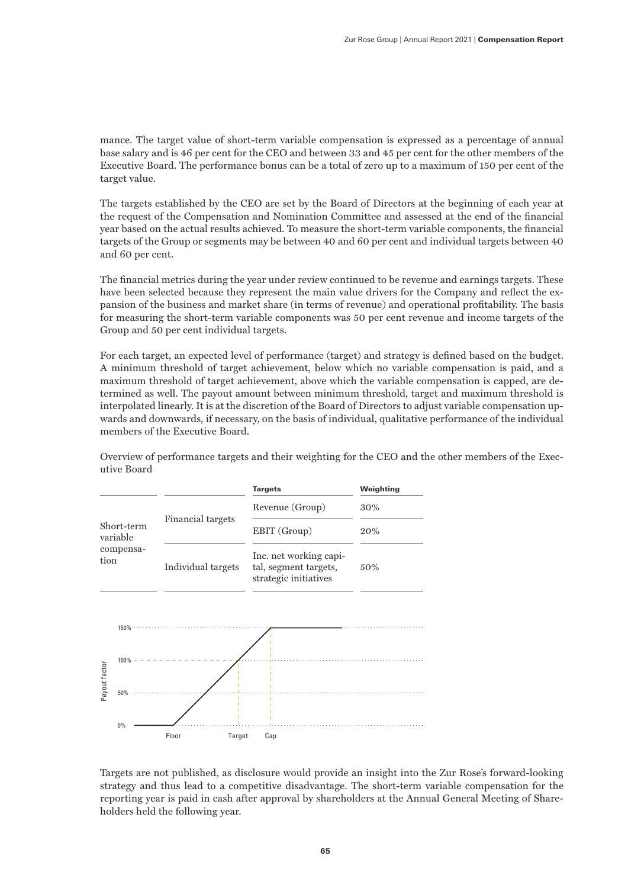mance. The target value of short-term variable compensation is expressed as a percentage of annual base salary and is 46 per cent for the CEO and between 33 and 45 per cent for the other members of the Executive Board. The performance bonus can be a total of zero up to a maximum of 150 per cent of the target value.

The targets established by the CEO are set by the Board of Directors at the beginning of each year at the request of the Compensation and Nomination Committee and assessed at the end of the financial year based on the actual results achieved. To measure the short-term variable components, the financial targets of the Group or segments may be between 40 and 60 per cent and individual targets between 40 and 60 per cent.

The financial metrics during the year under review continued to be revenue and earnings targets. These have been selected because they represent the main value drivers for the Company and reflect the expansion of the business and market share (in terms of revenue) and operational profitability. The basis for measuring the short-term variable components was 50 per cent revenue and income targets of the Group and 50 per cent individual targets.

For each target, an expected level of performance (target) and strategy is defined based on the budget. A minimum threshold of target achievement, below which no variable compensation is paid, and a maximum threshold of target achievement, above which the variable compensation is capped, are determined as well. The payout amount between minimum threshold, target and maximum threshold is interpolated linearly. It is at the discretion of the Board of Directors to adjust variable compensation upwards and downwards, if necessary, on the basis of individual, qualitative performance of the individual members of the Executive Board.



Overview of performance targets and their weighting for the CEO and the other members of the Executive Board

Targets are not published, as disclosure would provide an insight into the Zur Rose's forward-looking strategy and thus lead to a competitive disadvantage. The short-term variable compensation for the reporting year is paid in cash after approval by shareholders at the Annual General Meeting of Shareholders held the following year.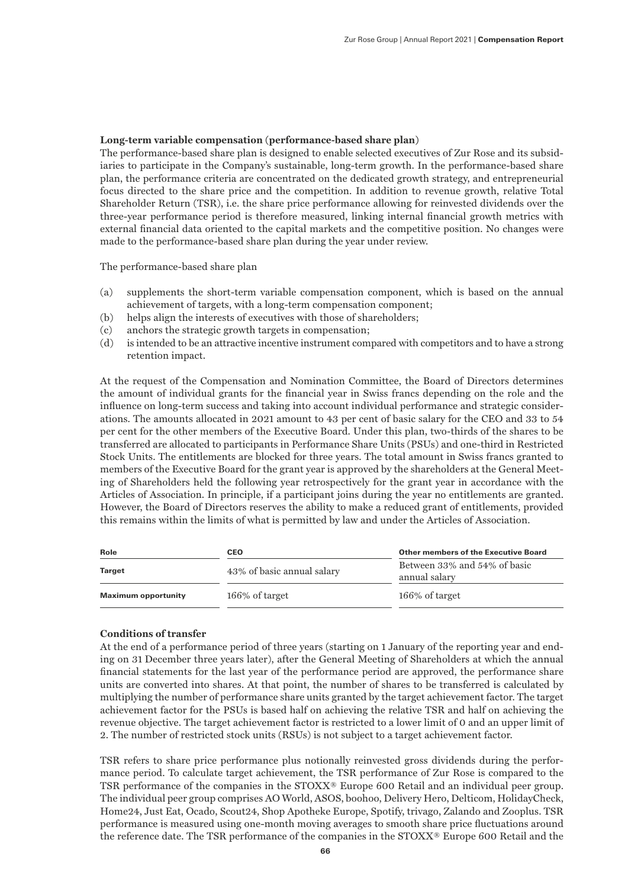# **Long-term variable compensation (performance-based share plan)**

The performance-based share plan is designed to enable selected executives of Zur Rose and its subsidiaries to participate in the Company's sustainable, long-term growth. In the performance-based share plan, the performance criteria are concentrated on the dedicated growth strategy, and entrepreneurial focus directed to the share price and the competition. In addition to revenue growth, relative Total Shareholder Return (TSR), i.e. the share price performance allowing for reinvested dividends over the three-year performance period is therefore measured, linking internal financial growth metrics with external financial data oriented to the capital markets and the competitive position. No changes were made to the performance-based share plan during the year under review.

The performance-based share plan

- (a) supplements the short-term variable compensation component, which is based on the annual achievement of targets, with a long-term compensation component;
- (b) helps align the interests of executives with those of shareholders;
- (c) anchors the strategic growth targets in compensation;
- (d) is intended to be an attractive incentive instrument compared with competitors and to have a strong retention impact.

At the request of the Compensation and Nomination Committee, the Board of Directors determines the amount of individual grants for the financial year in Swiss francs depending on the role and the influence on long-term success and taking into account individual performance and strategic considerations. The amounts allocated in 2021 amount to 43 per cent of basic salary for the CEO and 33 to 54 per cent for the other members of the Executive Board. Under this plan, two-thirds of the shares to be transferred are allocated to participants in Performance Share Units (PSUs) and one-third in Restricted Stock Units. The entitlements are blocked for three years. The total amount in Swiss francs granted to members of the Executive Board for the grant year is approved by the shareholders at the General Meeting of Shareholders held the following year retrospectively for the grant year in accordance with the Articles of Association. In principle, if a participant joins during the year no entitlements are granted. However, the Board of Directors reserves the ability to make a reduced grant of entitlements, provided this remains within the limits of what is permitted by law and under the Articles of Association.

| Role                       | CEO                        | <b>Other members of the Executive Board</b>   |  |  |
|----------------------------|----------------------------|-----------------------------------------------|--|--|
| <b>Target</b>              | 43% of basic annual salary | Between 33% and 54% of basic<br>annual salary |  |  |
| <b>Maximum opportunity</b> | $166\%$ of target          | 166% of target                                |  |  |

# **Conditions of transfer**

At the end of a performance period of three years (starting on 1 January of the reporting year and ending on 31 December three years later), after the General Meeting of Shareholders at which the annual financial statements for the last year of the performance period are approved, the performance share units are converted into shares. At that point, the number of shares to be transferred is calculated by multiplying the number of performance share units granted by the target achievement factor. The target achievement factor for the PSUs is based half on achieving the relative TSR and half on achieving the revenue objective. The target achievement factor is restricted to a lower limit of 0 and an upper limit of 2. The number of restricted stock units (RSUs) is not subject to a target achievement factor.

TSR refers to share price performance plus notionally reinvested gross dividends during the performance period. To calculate target achievement, the TSR performance of Zur Rose is compared to the TSR performance of the companies in the STOXX® Europe 600 Retail and an individual peer group. The individual peer group comprises AO World, ASOS, boohoo, Delivery Hero, Delticom, HolidayCheck, Home24, Just Eat, Ocado, Scout24, Shop Apotheke Europe, Spotify, trivago, Zalando and Zooplus. TSR performance is measured using one-month moving averages to smooth share price fluctuations around the reference date. The TSR performance of the companies in the STOXX® Europe 600 Retail and the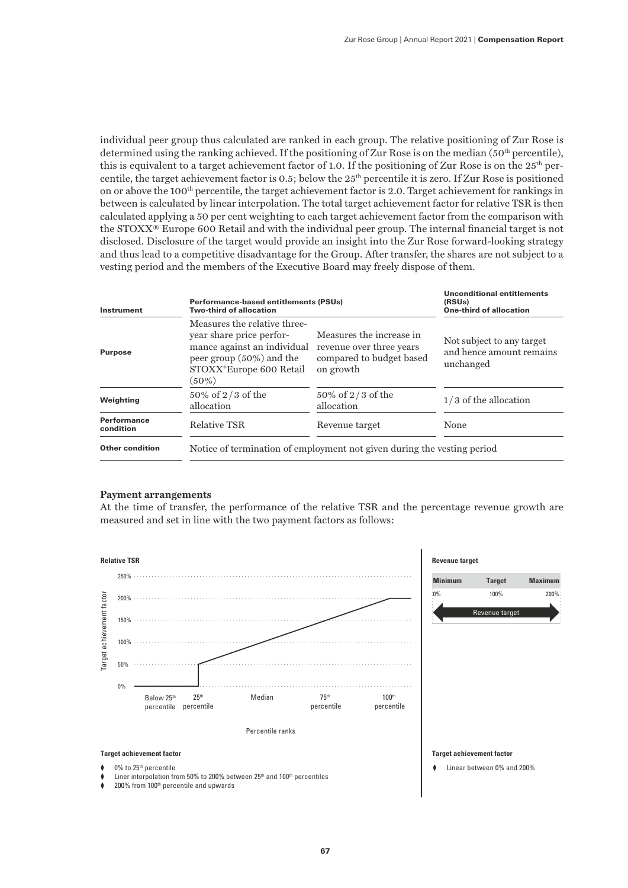individual peer group thus calculated are ranked in each group. The relative positioning of Zur Rose is determined using the ranking achieved. If the positioning of Zur Rose is on the median ( $50<sup>th</sup>$  percentile), this is equivalent to a target achievement factor of 1.0. If the positioning of Zur Rose is on the  $25<sup>th</sup>$  percentile, the target achievement factor is 0.5; below the 25<sup>th</sup> percentile it is zero. If Zur Rose is positioned on or above the 100th percentile, the target achievement factor is 2.0. Target achievement for rankings in between is calculated by linear interpolation. The total target achievement factor for relative TSR is then calculated applying a 50 per cent weighting to each target achievement factor from the comparison with the STOXX® Europe 600 Retail and with the individual peer group. The internal financial target is not disclosed. Disclosure of the target would provide an insight into the Zur Rose forward-looking strategy and thus lead to a competitive disadvantage for the Group. After transfer, the shares are not subject to a vesting period and the members of the Executive Board may freely dispose of them.

| Instrument               | <b>Performance-based entitlements (PSUs)</b><br><b>Two-third of allocation</b>                                                                                |                                                                                               | <b>Unconditional entitlements</b><br>(RSU <sub>s</sub> )<br><b>One-third of allocation</b> |
|--------------------------|---------------------------------------------------------------------------------------------------------------------------------------------------------------|-----------------------------------------------------------------------------------------------|--------------------------------------------------------------------------------------------|
| <b>Purpose</b>           | Measures the relative three-<br>year share price perfor-<br>mance against an individual<br>peer group $(50\%)$ and the<br>STOXX®Europe 600 Retail<br>$(50\%)$ | Measures the increase in<br>revenue over three years<br>compared to budget based<br>on growth | Not subject to any target<br>and hence amount remains<br>unchanged                         |
| Weighting                | 50% of 2/3 of the<br>allocation                                                                                                                               | $50\%$ of 2/3 of the<br>allocation                                                            | $1/3$ of the allocation                                                                    |
| Performance<br>condition | <b>Relative TSR</b>                                                                                                                                           | Revenue target                                                                                | None                                                                                       |
| <b>Other condition</b>   | Notice of termination of employment not given during the vesting period                                                                                       |                                                                                               |                                                                                            |

#### **Payment arrangements**

At the time of transfer, the performance of the relative TSR and the percentage revenue growth are measured and set in line with the two payment factors as follows:

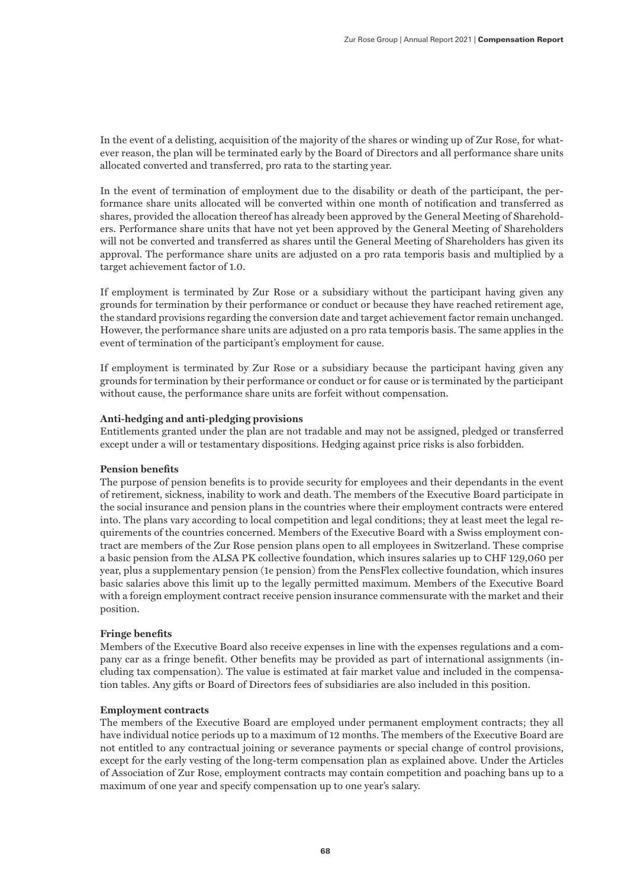In the event of a delisting, acquisition of the majority of the shares or winding up of Zur Rose, for whatever reason, the plan will be terminated early by the Board of Directors and all performance share units allocated converted and transferred, pro rata to the starting year.

In the event of termination of employment due to the disability or death of the participant, the performance share units allocated will be converted within one month of notification and transferred as shares, provided the allocation thereof has already been approved by the General Meeting of Shareholders. Performance share units that have not yet been approved by the General Meeting of Shareholders will not be converted and transferred as shares until the General Meeting of Shareholders has given its approval. The performance share units are adjusted on a pro rata temporis basis and multiplied by a target achievement factor of 1.0.

If employment is terminated by Zur Rose or a subsidiary without the participant having given any grounds for termination by their performance or conduct or because they have reached retirement age, the standard provisions regarding the conversion date and target achievement factor remain unchanged. However, the performance share units are adjusted on a pro rata temporis basis. The same applies in the event of termination of the participant's employment for cause.

If employment is terminated by Zur Rose or a subsidiary because the participant having given any grounds for termination by their performance or conduct or for cause or is terminated by the participant without cause, the performance share units are forfeit without compensation.

#### **Anti-hedging and anti-pledging provisions**

Entitlements granted under the plan are not tradable and may not be assigned, pledged or transferred except under a will or testamentary dispositions. Hedging against price risks is also forbidden.

# **Pension benefits**

The purpose of pension benefits is to provide security for employees and their dependants in the event of retirement, sickness, inability to work and death. The members of the Executive Board participate in the social insurance and pension plans in the countries where their employment contracts were entered into. The plans vary according to local competition and legal conditions; they at least meet the legal requirements of the countries concerned. Members of the Executive Board with a Swiss employment contract are members of the Zur Rose pension plans open to all employees in Switzerland. These comprise a basic pension from the ALSA PK collective foundation, which insures salaries up to CHF 129,060 per year, plus a supplementary pension (1e pension) from the PensFlex collective foundation, which insures basic salaries above this limit up to the legally permitted maximum. Members of the Executive Board with a foreign employment contract receive pension insurance commensurate with the market and their position.

#### **Fringe benefits**

Members of the Executive Board also receive expenses in line with the expenses regulations and a company car as a fringe benefit. Other benefits may be provided as part of international assignments (including tax compensation). The value is estimated at fair market value and included in the compensation tables. Any gifts or Board of Directors fees of subsidiaries are also included in this position.

# **Employment contracts**

The members of the Executive Board are employed under permanent employment contracts; they all have individual notice periods up to a maximum of 12 months. The members of the Executive Board are not entitled to any contractual joining or severance payments or special change of control provisions, except for the early vesting of the long-term compensation plan as explained above. Under the Articles of Association of Zur Rose, employment contracts may contain competition and poaching bans up to a maximum of one year and specify compensation up to one year's salary.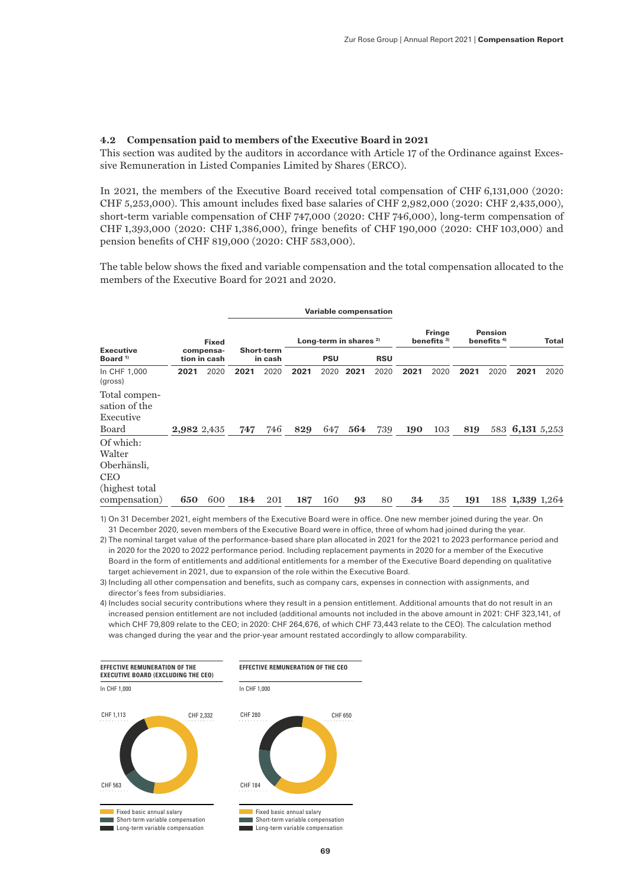# **4.2 Compensation paid to members of the Executive Board in 2021**

This section was audited by the auditors in accordance with Article 17 of the Ordinance against Excessive Remuneration in Listed Companies Limited by Shares (ERCO).

In 2021, the members of the Executive Board received total compensation of CHF 6,131,000 (2020: CHF 5,253,000). This amount includes fixed base salaries of CHF 2,982,000 (2020: CHF 2,435,000), short-term variable compensation of CHF 747,000 (2020: CHF 746,000), long-term compensation of CHF 1,393,000 (2020: CHF 1,386,000), fringe benefits of CHF 190,000 (2020: CHF 103,000) and pension benefits of CHF 819,000 (2020: CHF 583,000).

The table below shows the fixed and variable compensation and the total compensation allocated to the members of the Executive Board for 2021 and 2020.

|                                             |             |                           |      |                   |      |            | <b>Variable compensation</b>      |            |      |                                         |      |                                |                 |       |
|---------------------------------------------|-------------|---------------------------|------|-------------------|------|------------|-----------------------------------|------------|------|-----------------------------------------|------|--------------------------------|-----------------|-------|
| <b>Executive</b>                            |             | <b>Fixed</b><br>compensa- |      | <b>Short-term</b> |      |            | Long-term in shares <sup>2)</sup> |            |      | <b>Fringe</b><br>benefits <sup>3)</sup> |      | <b>Pension</b><br>benefits $4$ |                 | Total |
| Board <sup>1)</sup>                         |             | tion in cash              |      | in cash           |      | <b>PSU</b> |                                   | <b>RSU</b> |      |                                         |      |                                |                 |       |
| In CHF 1,000<br>(gross)                     | 2021        | 2020                      | 2021 | 2020              | 2021 | 2020       | 2021                              | 2020       | 2021 | 2020                                    | 2021 | 2020                           | 2021            | 2020  |
| Total compen-<br>sation of the<br>Executive |             |                           |      |                   |      |            |                                   |            |      |                                         |      |                                |                 |       |
| Board                                       |             |                           |      | 746               |      |            | 564                               |            |      |                                         |      |                                |                 |       |
|                                             | 2,982 2,435 |                           | 747  |                   | 829  | 647        |                                   | 739        | 190  | 103                                     | 819  |                                | 583 6,131 5,253 |       |
| Of which:<br>Walter                         |             |                           |      |                   |      |            |                                   |            |      |                                         |      |                                |                 |       |
| Oberhänsli,                                 |             |                           |      |                   |      |            |                                   |            |      |                                         |      |                                |                 |       |
| <b>CEO</b>                                  |             |                           |      |                   |      |            |                                   |            |      |                                         |      |                                |                 |       |
| (highest total)                             |             |                           |      |                   |      |            |                                   |            |      |                                         |      |                                |                 |       |
| compensation)                               | 650         | 600                       | 184  | 201               | 187  | 160        | 93                                | 80         | 34   | 35                                      | 191  |                                | 188 1,339 1,264 |       |

1) On 31 December 2021, eight members of the Executive Board were in office. One new member joined during the year. On 31 December 2020, seven members of the Executive Board were in office, three of whom had joined during the year.

2) The nominal target value of the performance-based share plan allocated in 2021 for the 2021 to 2023 performance period and in 2020 for the 2020 to 2022 performance period. Including replacement payments in 2020 for a member of the Executive Board in the form of entitlements and additional entitlements for a member of the Executive Board depending on qualitative target achievement in 2021, due to expansion of the role within the Executive Board.

3) Including all other compensation and benefits, such as company cars, expenses in connection with assignments, and director's fees from subsidiaries.

4) Includes social security contributions where they result in a pension entitlement. Additional amounts that do not result in an increased pension entitlement are not included (additional amounts not included in the above amount in 2021: CHF 323,141, of which CHF 79,809 relate to the CEO; in 2020: CHF 264,676, of which CHF 73,443 relate to the CEO). The calculation method was changed during the year and the prior-year amount restated accordingly to allow comparability.

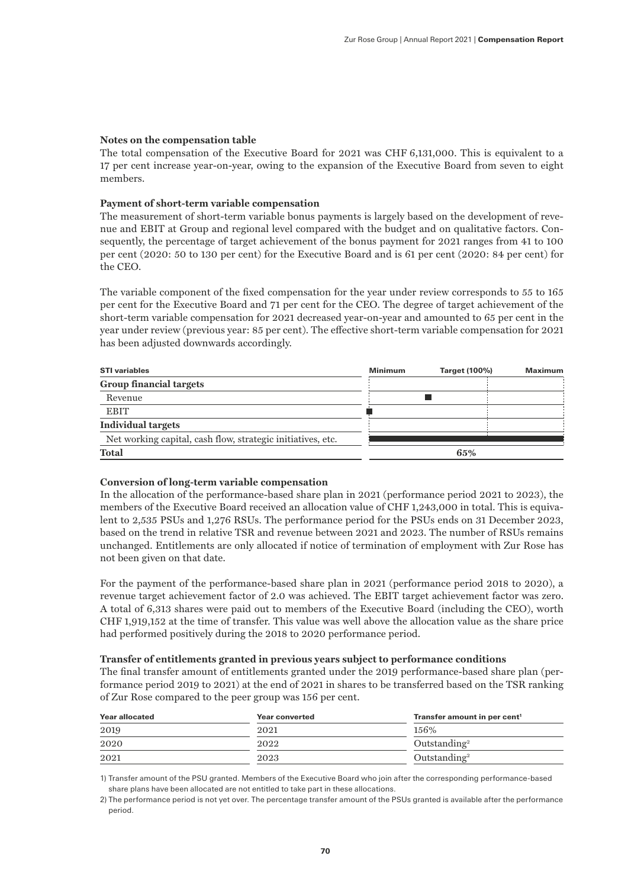# **Notes on the compensation table**

The total compensation of the Executive Board for 2021 was CHF 6,131,000. This is equivalent to a 17 per cent increase year-on-year, owing to the expansion of the Executive Board from seven to eight members.

# **Payment of short-term variable compensation**

The measurement of short-term variable bonus payments is largely based on the development of revenue and EBIT at Group and regional level compared with the budget and on qualitative factors. Consequently, the percentage of target achievement of the bonus payment for 2021 ranges from 41 to 100 per cent (2020: 50 to 130 per cent) for the Executive Board and is 61 per cent (2020: 84 per cent) for the CEO.

The variable component of the fixed compensation for the year under review corresponds to 55 to 165 per cent for the Executive Board and 71 per cent for the CEO. The degree of target achievement of the short-term variable compensation for 2021 decreased year-on-year and amounted to 65 per cent in the year under review (previous year: 85 per cent). The effective short-term variable compensation for 2021 has been adjusted downwards accordingly.

| <b>STI</b> variables                                        | <b>Minimum</b> | Target (100%) | Maximum |
|-------------------------------------------------------------|----------------|---------------|---------|
| <b>Group financial targets</b>                              |                |               |         |
| Revenue                                                     |                |               |         |
| <b>EBIT</b>                                                 |                |               |         |
| Individual targets                                          |                |               |         |
| Net working capital, cash flow, strategic initiatives, etc. |                |               |         |
| <b>Total</b>                                                |                | 65%           |         |

# **Conversion of long-term variable compensation**

In the allocation of the performance-based share plan in 2021 (performance period 2021 to 2023), the members of the Executive Board received an allocation value of CHF 1,243,000 in total. This is equivalent to 2,535 PSUs and 1,276 RSUs. The performance period for the PSUs ends on 31 December 2023, based on the trend in relative TSR and revenue between 2021 and 2023. The number of RSUs remains unchanged. Entitlements are only allocated if notice of termination of employment with Zur Rose has not been given on that date.

For the payment of the performance-based share plan in 2021 (performance period 2018 to 2020), a revenue target achievement factor of 2.0 was achieved. The EBIT target achievement factor was zero. A total of 6,313 shares were paid out to members of the Executive Board (including the CEO), worth CHF 1,919,152 at the time of transfer. This value was well above the allocation value as the share price had performed positively during the 2018 to 2020 performance period.

# **Transfer of entitlements granted in previous years subject to performance conditions**

The final transfer amount of entitlements granted under the 2019 performance-based share plan (performance period 2019 to 2021) at the end of 2021 in shares to be transferred based on the TSR ranking of Zur Rose compared to the peer group was 156 per cent.

| <b>Year allocated</b> | <b>Year converted</b> | Transfer amount in per cent <sup>1</sup> |
|-----------------------|-----------------------|------------------------------------------|
| 2019                  | 2021                  | 156%                                     |
| 2020                  | 2022                  | Outstanding <sup>2</sup>                 |
| 2021                  | 2023                  | Outstanding <sup>2</sup>                 |

1) Transfer amount of the PSU granted. Members of the Executive Board who join after the corresponding performance-based share plans have been allocated are not entitled to take part in these allocations.

<sup>2)</sup> The performance period is not yet over. The percentage transfer amount of the PSUs granted is available after the performance period.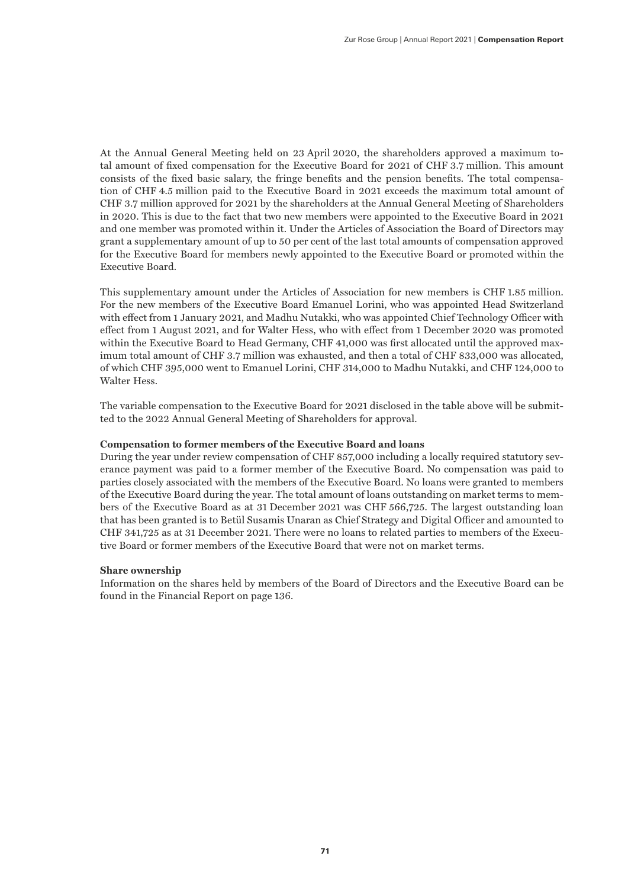At the Annual General Meeting held on 23 April 2020, the shareholders approved a maximum total amount of fixed compensation for the Executive Board for 2021 of CHF 3.7 million. This amount consists of the fixed basic salary, the fringe benefits and the pension benefits. The total compensation of CHF 4.5 million paid to the Executive Board in 2021 exceeds the maximum total amount of CHF 3.7 million approved for 2021 by the shareholders at the Annual General Meeting of Shareholders in 2020. This is due to the fact that two new members were appointed to the Executive Board in 2021 and one member was promoted within it. Under the Articles of Association the Board of Directors may grant a supplementary amount of up to 50 per cent of the last total amounts of compensation approved for the Executive Board for members newly appointed to the Executive Board or promoted within the Executive Board.

This supplementary amount under the Articles of Association for new members is CHF 1.85 million. For the new members of the Executive Board Emanuel Lorini, who was appointed Head Switzerland with effect from 1 January 2021, and Madhu Nutakki, who was appointed Chief Technology Officer with effect from 1 August 2021, and for Walter Hess, who with effect from 1 December 2020 was promoted within the Executive Board to Head Germany, CHF 41,000 was first allocated until the approved maximum total amount of CHF 3.7 million was exhausted, and then a total of CHF 833,000 was allocated, of which CHF 395,000 went to Emanuel Lorini, CHF 314,000 to Madhu Nutakki, and CHF 124,000 to Walter Hess.

The variable compensation to the Executive Board for 2021 disclosed in the table above will be submitted to the 2022 Annual General Meeting of Shareholders for approval.

# **Compensation to former members of the Executive Board and loans**

During the year under review compensation of CHF 857,000 including a locally required statutory severance payment was paid to a former member of the Executive Board. No compensation was paid to parties closely associated with the members of the Executive Board. No loans were granted to members of the Executive Board during the year. The total amount of loans outstanding on market terms to members of the Executive Board as at 31 December 2021 was CHF 566,725. The largest outstanding loan that has been granted is to Betül Susamis Unaran as Chief Strategy and Digital Officer and amounted to CHF 341,725 as at 31 December 2021. There were no loans to related parties to members of the Executive Board or former members of the Executive Board that were not on market terms.

#### **Share ownership**

Information on the shares held by members of the Board of Directors and the Executive Board can be found in the Financial Report on page 136.